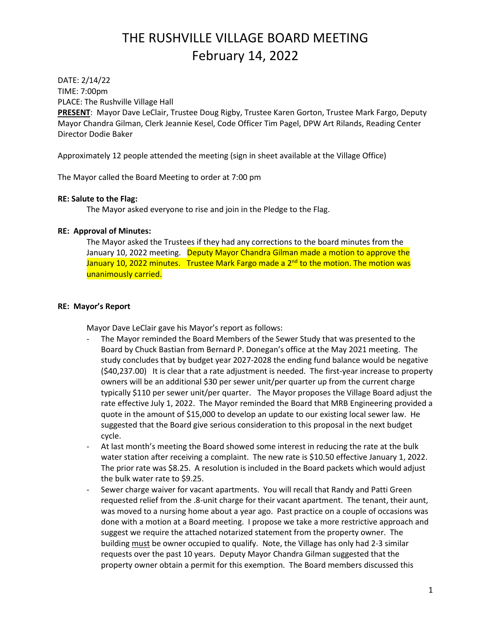DATE: 2/14/22 TIME: 7:00pm PLACE: The Rushville Village Hall

**PRESENT**: Mayor Dave LeClair, Trustee Doug Rigby, Trustee Karen Gorton, Trustee Mark Fargo, Deputy Mayor Chandra Gilman, Clerk Jeannie Kesel, Code Officer Tim Pagel, DPW Art Rilands, Reading Center Director Dodie Baker

Approximately 12 people attended the meeting (sign in sheet available at the Village Office)

The Mayor called the Board Meeting to order at 7:00 pm

### **RE: Salute to the Flag:**

The Mayor asked everyone to rise and join in the Pledge to the Flag.

### **RE: Approval of Minutes:**

The Mayor asked the Trustees if they had any corrections to the board minutes from the January 10, 2022 meeting. Deputy Mayor Chandra Gilman made a motion to approve the January 10, 2022 minutes. Trustee Mark Fargo made a 2<sup>nd</sup> to the motion. The motion was unanimously carried.

### **RE: Mayor's Report**

Mayor Dave LeClair gave his Mayor's report as follows:

- The Mayor reminded the Board Members of the Sewer Study that was presented to the Board by Chuck Bastian from Bernard P. Donegan's office at the May 2021 meeting. The study concludes that by budget year 2027-2028 the ending fund balance would be negative (\$40,237.00) It is clear that a rate adjustment is needed. The first-year increase to property owners will be an additional \$30 per sewer unit/per quarter up from the current charge typically \$110 per sewer unit/per quarter. The Mayor proposes the Village Board adjust the rate effective July 1, 2022. The Mayor reminded the Board that MRB Engineering provided a quote in the amount of \$15,000 to develop an update to our existing local sewer law. He suggested that the Board give serious consideration to this proposal in the next budget cycle.
- At last month's meeting the Board showed some interest in reducing the rate at the bulk water station after receiving a complaint. The new rate is \$10.50 effective January 1, 2022. The prior rate was \$8.25. A resolution is included in the Board packets which would adjust the bulk water rate to \$9.25.
- Sewer charge waiver for vacant apartments. You will recall that Randy and Patti Green requested relief from the .8-unit charge for their vacant apartment. The tenant, their aunt, was moved to a nursing home about a year ago. Past practice on a couple of occasions was done with a motion at a Board meeting. I propose we take a more restrictive approach and suggest we require the attached notarized statement from the property owner. The building must be owner occupied to qualify. Note, the Village has only had 2-3 similar requests over the past 10 years. Deputy Mayor Chandra Gilman suggested that the property owner obtain a permit for this exemption. The Board members discussed this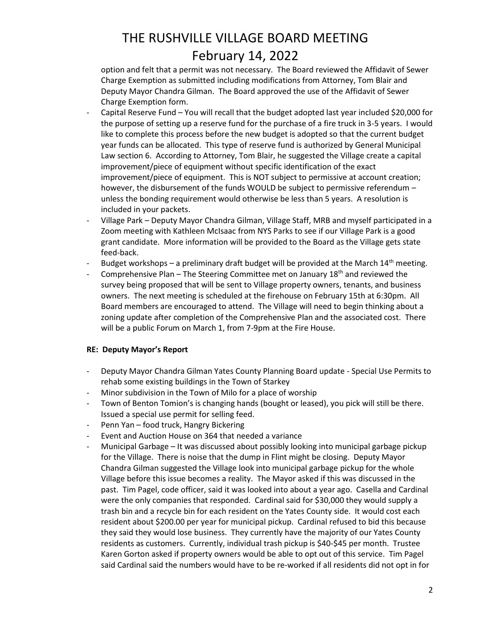option and felt that a permit was not necessary. The Board reviewed the Affidavit of Sewer Charge Exemption as submitted including modifications from Attorney, Tom Blair and Deputy Mayor Chandra Gilman. The Board approved the use of the Affidavit of Sewer Charge Exemption form.

- Capital Reserve Fund You will recall that the budget adopted last year included \$20,000 for the purpose of setting up a reserve fund for the purchase of a fire truck in 3-5 years. I would like to complete this process before the new budget is adopted so that the current budget year funds can be allocated. This type of reserve fund is authorized by General Municipal Law section 6. According to Attorney, Tom Blair, he suggested the Village create a capital improvement/piece of equipment without specific identification of the exact improvement/piece of equipment. This is NOT subject to permissive at account creation; however, the disbursement of the funds WOULD be subject to permissive referendum – unless the bonding requirement would otherwise be less than 5 years. A resolution is included in your packets.
- Village Park Deputy Mayor Chandra Gilman, Village Staff, MRB and myself participated in a Zoom meeting with Kathleen McIsaac from NYS Parks to see if our Village Park is a good grant candidate. More information will be provided to the Board as the Village gets state feed-back.
- Budget workshops a preliminary draft budget will be provided at the March  $14<sup>th</sup>$  meeting.
- Comprehensive Plan The Steering Committee met on January  $18<sup>th</sup>$  and reviewed the survey being proposed that will be sent to Village property owners, tenants, and business owners. The next meeting is scheduled at the firehouse on February 15th at 6:30pm. All Board members are encouraged to attend. The Village will need to begin thinking about a zoning update after completion of the Comprehensive Plan and the associated cost. There will be a public Forum on March 1, from 7-9pm at the Fire House.

### **RE: Deputy Mayor's Report**

- Deputy Mayor Chandra Gilman Yates County Planning Board update Special Use Permits to rehab some existing buildings in the Town of Starkey
- Minor subdivision in the Town of Milo for a place of worship
- Town of Benton Tomion's is changing hands (bought or leased), you pick will still be there. Issued a special use permit for selling feed.
- Penn Yan food truck, Hangry Bickering
- Event and Auction House on 364 that needed a variance
- Municipal Garbage It was discussed about possibly looking into municipal garbage pickup for the Village. There is noise that the dump in Flint might be closing. Deputy Mayor Chandra Gilman suggested the Village look into municipal garbage pickup for the whole Village before this issue becomes a reality. The Mayor asked if this was discussed in the past. Tim Pagel, code officer, said it was looked into about a year ago. Casella and Cardinal were the only companies that responded. Cardinal said for \$30,000 they would supply a trash bin and a recycle bin for each resident on the Yates County side. It would cost each resident about \$200.00 per year for municipal pickup. Cardinal refused to bid this because they said they would lose business. They currently have the majority of our Yates County residents as customers. Currently, individual trash pickup is \$40-\$45 per month. Trustee Karen Gorton asked if property owners would be able to opt out of this service. Tim Pagel said Cardinal said the numbers would have to be re-worked if all residents did not opt in for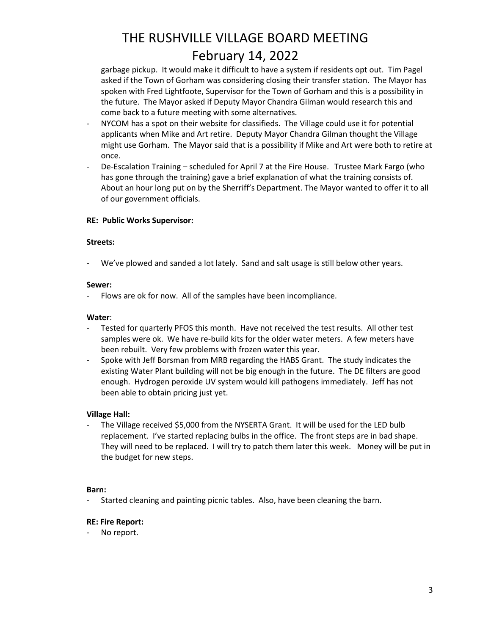garbage pickup. It would make it difficult to have a system if residents opt out. Tim Pagel asked if the Town of Gorham was considering closing their transfer station. The Mayor has spoken with Fred Lightfoote, Supervisor for the Town of Gorham and this is a possibility in the future. The Mayor asked if Deputy Mayor Chandra Gilman would research this and come back to a future meeting with some alternatives.

- NYCOM has a spot on their website for classifieds. The Village could use it for potential applicants when Mike and Art retire. Deputy Mayor Chandra Gilman thought the Village might use Gorham. The Mayor said that is a possibility if Mike and Art were both to retire at once.
- De-Escalation Training scheduled for April 7 at the Fire House. Trustee Mark Fargo (who has gone through the training) gave a brief explanation of what the training consists of. About an hour long put on by the Sherriff's Department. The Mayor wanted to offer it to all of our government officials.

### **RE: Public Works Supervisor:**

#### **Streets:**

- We've plowed and sanded a lot lately. Sand and salt usage is still below other years.

#### **Sewer:**

Flows are ok for now. All of the samples have been incompliance.

#### **Water**:

- Tested for quarterly PFOS this month. Have not received the test results. All other test samples were ok. We have re-build kits for the older water meters. A few meters have been rebuilt. Very few problems with frozen water this year.
- Spoke with Jeff Borsman from MRB regarding the HABS Grant. The study indicates the existing Water Plant building will not be big enough in the future. The DE filters are good enough. Hydrogen peroxide UV system would kill pathogens immediately. Jeff has not been able to obtain pricing just yet.

#### **Village Hall:**

The Village received \$5,000 from the NYSERTA Grant. It will be used for the LED bulb replacement. I've started replacing bulbs in the office. The front steps are in bad shape. They will need to be replaced. I will try to patch them later this week. Money will be put in the budget for new steps.

#### **Barn:**

- Started cleaning and painting picnic tables. Also, have been cleaning the barn.

#### **RE: Fire Report:**

No report.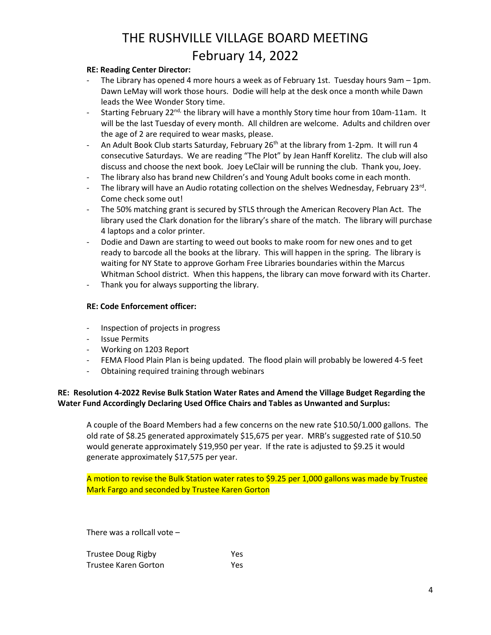#### **RE: Reading Center Director:**

- The Library has opened 4 more hours a week as of February 1st. Tuesday hours 9am 1pm. Dawn LeMay will work those hours. Dodie will help at the desk once a month while Dawn leads the Wee Wonder Story time.
- Starting February 22<sup>nd,</sup> the library will have a monthly Story time hour from 10am-11am. It will be the last Tuesday of every month. All children are welcome. Adults and children over the age of 2 are required to wear masks, please.
- An Adult Book Club starts Saturday, February 26<sup>th</sup> at the library from 1-2pm. It will run 4 consecutive Saturdays. We are reading "The Plot" by Jean Hanff Korelitz. The club will also discuss and choose the next book. Joey LeClair will be running the club. Thank you, Joey.
- The library also has brand new Children's and Young Adult books come in each month.
- The library will have an Audio rotating collection on the shelves Wednesday, February 23<sup>rd</sup>. Come check some out!
- The 50% matching grant is secured by STLS through the American Recovery Plan Act. The library used the Clark donation for the library's share of the match. The library will purchase 4 laptops and a color printer.
- Dodie and Dawn are starting to weed out books to make room for new ones and to get ready to barcode all the books at the library. This will happen in the spring. The library is waiting for NY State to approve Gorham Free Libraries boundaries within the Marcus Whitman School district. When this happens, the library can move forward with its Charter.
- Thank you for always supporting the library.

### **RE: Code Enforcement officer:**

- Inspection of projects in progress
- **Issue Permits**
- Working on 1203 Report
- FEMA Flood Plain Plan is being updated. The flood plain will probably be lowered 4-5 feet
- Obtaining required training through webinars

### **RE: Resolution 4-2022 Revise Bulk Station Water Rates and Amend the Village Budget Regarding the Water Fund Accordingly Declaring Used Office Chairs and Tables as Unwanted and Surplus:**

A couple of the Board Members had a few concerns on the new rate \$10.50/1.000 gallons. The old rate of \$8.25 generated approximately \$15,675 per year. MRB's suggested rate of \$10.50 would generate approximately \$19,950 per year. If the rate is adjusted to \$9.25 it would generate approximately \$17,575 per year.

A motion to revise the Bulk Station water rates to \$9.25 per 1,000 gallons was made by Trustee Mark Fargo and seconded by Trustee Karen Gorton

There was a rollcall vote –

| <b>Trustee Doug Rigby</b> | Yes |
|---------------------------|-----|
| Trustee Karen Gorton      | Yes |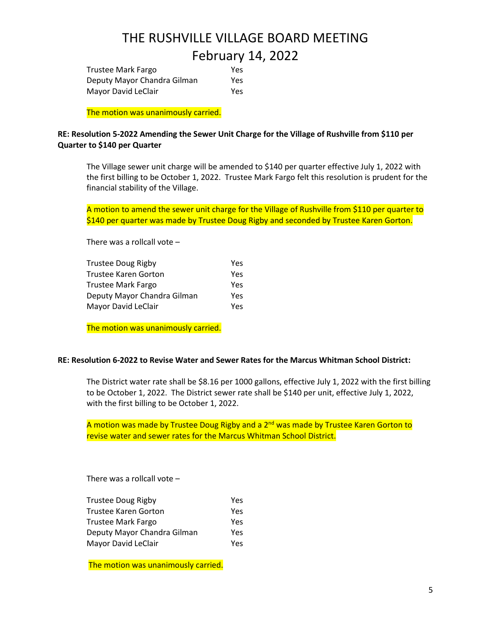| <b>Trustee Mark Fargo</b>   | Yes |
|-----------------------------|-----|
| Deputy Mayor Chandra Gilman | Yes |
| Mayor David LeClair         | Yes |

The motion was unanimously carried.

### **RE: Resolution 5-2022 Amending the Sewer Unit Charge for the Village of Rushville from \$110 per Quarter to \$140 per Quarter**

The Village sewer unit charge will be amended to \$140 per quarter effective July 1, 2022 with the first billing to be October 1, 2022. Trustee Mark Fargo felt this resolution is prudent for the financial stability of the Village.

A motion to amend the sewer unit charge for the Village of Rushville from \$110 per quarter to \$140 per quarter was made by Trustee Doug Rigby and seconded by Trustee Karen Gorton.

There was a rollcall vote –

| Trustee Doug Rigby          | Yes |
|-----------------------------|-----|
| <b>Trustee Karen Gorton</b> | Yes |
| Trustee Mark Fargo          | Yes |
| Deputy Mayor Chandra Gilman | Yes |
| Mayor David LeClair         | Yes |

The motion was unanimously carried.

#### **RE: Resolution 6-2022 to Revise Water and Sewer Rates for the Marcus Whitman School District:**

The District water rate shall be \$8.16 per 1000 gallons, effective July 1, 2022 with the first billing to be October 1, 2022. The District sewer rate shall be \$140 per unit, effective July 1, 2022, with the first billing to be October 1, 2022.

A motion was made by Trustee Doug Rigby and a  $2^{nd}$  was made by Trustee Karen Gorton to revise water and sewer rates for the Marcus Whitman School District.

There was a rollcall vote –

| <b>Trustee Doug Rigby</b>   | Yes |
|-----------------------------|-----|
| <b>Trustee Karen Gorton</b> | Yes |
| <b>Trustee Mark Fargo</b>   | Yes |
| Deputy Mayor Chandra Gilman | Yes |
| Mayor David LeClair         | Yes |

The motion was unanimously carried.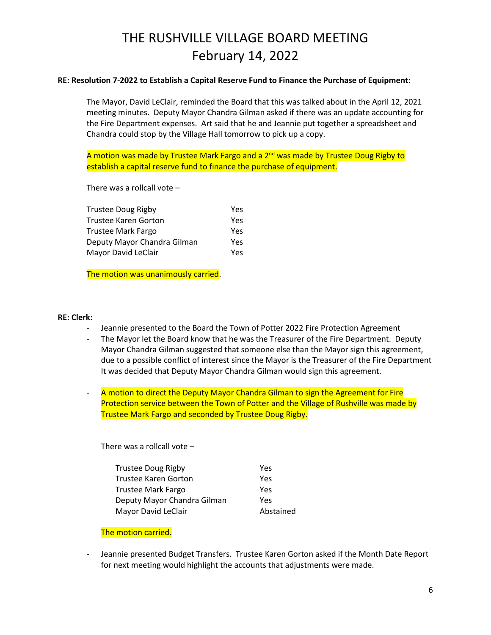#### **RE: Resolution 7-2022 to Establish a Capital Reserve Fund to Finance the Purchase of Equipment:**

The Mayor, David LeClair, reminded the Board that this was talked about in the April 12, 2021 meeting minutes. Deputy Mayor Chandra Gilman asked if there was an update accounting for the Fire Department expenses. Art said that he and Jeannie put together a spreadsheet and Chandra could stop by the Village Hall tomorrow to pick up a copy.

A motion was made by Trustee Mark Fargo and a  $2<sup>nd</sup>$  was made by Trustee Doug Rigby to establish a capital reserve fund to finance the purchase of equipment.

There was a rollcall vote –

| Yes |
|-----|
| Yes |
| Yes |
| Yes |
|     |

The motion was unanimously carried.

#### **RE: Clerk:**

- Jeannie presented to the Board the Town of Potter 2022 Fire Protection Agreement
- The Mayor let the Board know that he was the Treasurer of the Fire Department. Deputy Mayor Chandra Gilman suggested that someone else than the Mayor sign this agreement, due to a possible conflict of interest since the Mayor is the Treasurer of the Fire Department It was decided that Deputy Mayor Chandra Gilman would sign this agreement.
- A motion to direct the Deputy Mayor Chandra Gilman to sign the Agreement for Fire Protection service between the Town of Potter and the Village of Rushville was made by Trustee Mark Fargo and seconded by Trustee Doug Rigby.

There was a rollcall vote –

| <b>Trustee Doug Rigby</b>   | Yes       |
|-----------------------------|-----------|
| <b>Trustee Karen Gorton</b> | Yes       |
| <b>Trustee Mark Fargo</b>   | Yes       |
| Deputy Mayor Chandra Gilman | Yes       |
| Mayor David LeClair         | Abstained |

#### The motion carried.

- Jeannie presented Budget Transfers. Trustee Karen Gorton asked if the Month Date Report for next meeting would highlight the accounts that adjustments were made.